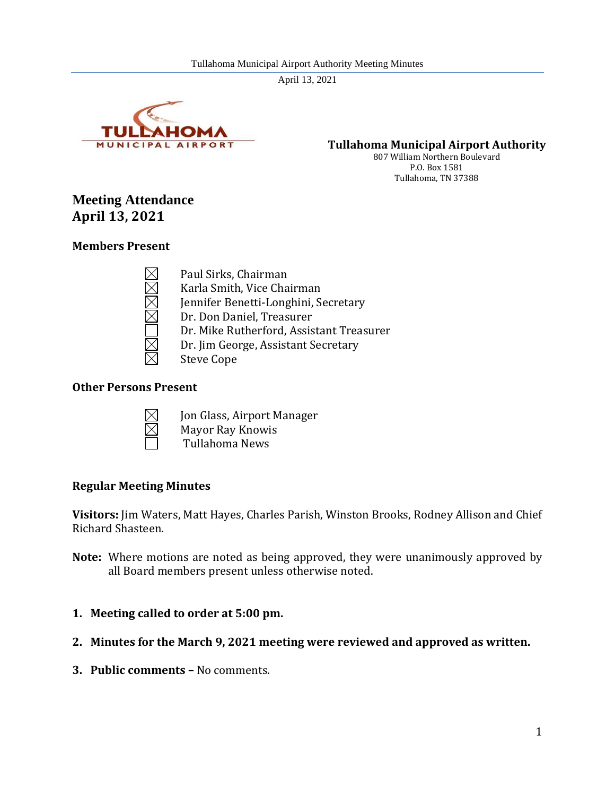

**Tullahoma Municipal Airport Authority**

807 William Northern Boulevard P.O. Box 1581 Tullahoma, TN 37388

# **Meeting Attendance April 13, 2021**

## **Members Present**

Paul Sirks, Chairman Karla Smith, Vice Chairman Jennifer Benetti-Longhini, Secretary Dr. Don Daniel, Treasurer Dr. Mike Rutherford, Assistant Treasurer Dr. Jim George, Assistant Secretary Steve Cope

## **Other Persons Present**



- Jon Glass, Airport Manager Mayor Ray Knowis
- Tullahoma News

## **Regular Meeting Minutes**

**Visitors:** Jim Waters, Matt Hayes, Charles Parish, Winston Brooks, Rodney Allison and Chief Richard Shasteen.

- **Note:** Where motions are noted as being approved, they were unanimously approved by all Board members present unless otherwise noted.
- **1. Meeting called to order at 5:00 pm.**
- **2. Minutes for the March 9, 2021 meeting were reviewed and approved as written.**
- **3. Public comments –** No comments.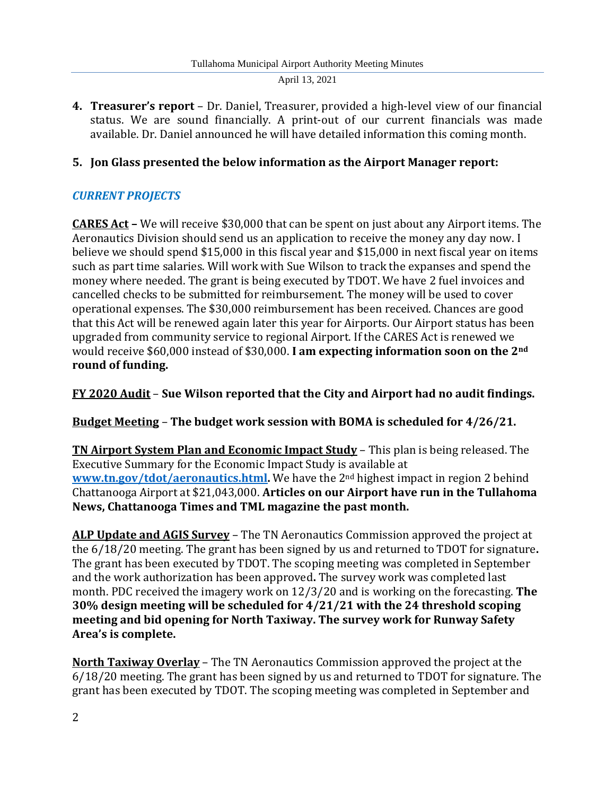**4. Treasurer's report** – Dr. Daniel, Treasurer, provided a high-level view of our financial status. We are sound financially. A print-out of our current financials was made available. Dr. Daniel announced he will have detailed information this coming month.

## **5. Jon Glass presented the below information as the Airport Manager report:**

## *CURRENT PROJECTS*

**CARES Act –** We will receive \$30,000 that can be spent on just about any Airport items. The Aeronautics Division should send us an application to receive the money any day now. I believe we should spend \$15,000 in this fiscal year and \$15,000 in next fiscal year on items such as part time salaries. Will work with Sue Wilson to track the expanses and spend the money where needed. The grant is being executed by TDOT. We have 2 fuel invoices and cancelled checks to be submitted for reimbursement. The money will be used to cover operational expenses. The \$30,000 reimbursement has been received. Chances are good that this Act will be renewed again later this year for Airports. Our Airport status has been upgraded from community service to regional Airport. If the CARES Act is renewed we would receive \$60,000 instead of \$30,000. **I am expecting information soon on the 2nd round of funding.**

**FY 2020 Audit** – **Sue Wilson reported that the City and Airport had no audit findings.**

**Budget Meeting** – **The budget work session with BOMA is scheduled for 4/26/21.**

**TN Airport System Plan and Economic Impact Study** – This plan is being released. The Executive Summary for the Economic Impact Study is available at **[www.tn.gov/tdot/aeronautics.html.](http://www.tn.gov/tdot/aeronautics.html)** We have the 2nd highest impact in region 2 behind Chattanooga Airport at \$21,043,000. **Articles on our Airport have run in the Tullahoma News, Chattanooga Times and TML magazine the past month.**

**ALP Update and AGIS Survey** – The TN Aeronautics Commission approved the project at the 6/18/20 meeting. The grant has been signed by us and returned to TDOT for signature**.** The grant has been executed by TDOT. The scoping meeting was completed in September and the work authorization has been approved**.** The survey work was completed last month. PDC received the imagery work on 12/3/20 and is working on the forecasting. **The 30% design meeting will be scheduled for 4/21/21 with the 24 threshold scoping meeting and bid opening for North Taxiway. The survey work for Runway Safety Area's is complete.**

**North Taxiway Overlay** – The TN Aeronautics Commission approved the project at the 6/18/20 meeting. The grant has been signed by us and returned to TDOT for signature. The grant has been executed by TDOT. The scoping meeting was completed in September and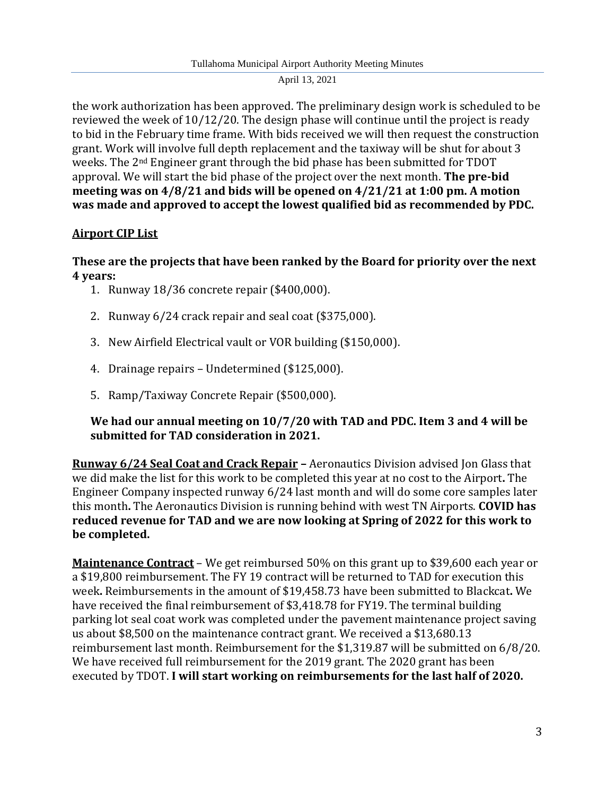the work authorization has been approved. The preliminary design work is scheduled to be reviewed the week of 10/12/20. The design phase will continue until the project is ready to bid in the February time frame. With bids received we will then request the construction grant. Work will involve full depth replacement and the taxiway will be shut for about 3 weeks. The 2nd Engineer grant through the bid phase has been submitted for TDOT approval. We will start the bid phase of the project over the next month. **The pre-bid meeting was on 4/8/21 and bids will be opened on 4/21/21 at 1:00 pm. A motion was made and approved to accept the lowest qualified bid as recommended by PDC.**

## **Airport CIP List**

**These are the projects that have been ranked by the Board for priority over the next 4 years:**

- 1. Runway 18/36 concrete repair (\$400,000).
- 2. Runway 6/24 crack repair and seal coat (\$375,000).
- 3. New Airfield Electrical vault or VOR building (\$150,000).
- 4. Drainage repairs Undetermined (\$125,000).
- 5. Ramp/Taxiway Concrete Repair (\$500,000).

## **We had our annual meeting on 10/7/20 with TAD and PDC. Item 3 and 4 will be submitted for TAD consideration in 2021.**

**Runway 6/24 Seal Coat and Crack Repair –** Aeronautics Division advised Jon Glass that we did make the list for this work to be completed this year at no cost to the Airport**.** The Engineer Company inspected runway 6/24 last month and will do some core samples later this month**.** The Aeronautics Division is running behind with west TN Airports. **COVID has reduced revenue for TAD and we are now looking at Spring of 2022 for this work to be completed.** 

**Maintenance Contract** – We get reimbursed 50% on this grant up to \$39,600 each year or a \$19,800 reimbursement. The FY 19 contract will be returned to TAD for execution this week**.** Reimbursements in the amount of \$19,458.73 have been submitted to Blackcat**.** We have received the final reimbursement of \$3,418.78 for FY19. The terminal building parking lot seal coat work was completed under the pavement maintenance project saving us about \$8,500 on the maintenance contract grant. We received a \$13,680.13 reimbursement last month. Reimbursement for the \$1,319.87 will be submitted on 6/8/20. We have received full reimbursement for the 2019 grant. The 2020 grant has been executed by TDOT. **I will start working on reimbursements for the last half of 2020.**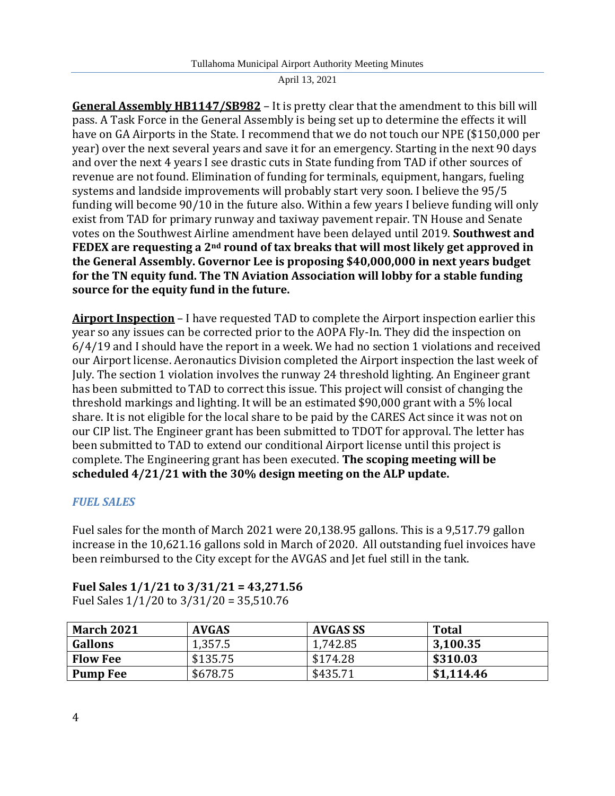**General Assembly HB1147/SB982** – It is pretty clear that the amendment to this bill will pass. A Task Force in the General Assembly is being set up to determine the effects it will have on GA Airports in the State. I recommend that we do not touch our NPE (\$150,000 per year) over the next several years and save it for an emergency. Starting in the next 90 days and over the next 4 years I see drastic cuts in State funding from TAD if other sources of revenue are not found. Elimination of funding for terminals, equipment, hangars, fueling systems and landside improvements will probably start very soon. I believe the 95/5 funding will become 90/10 in the future also. Within a few years I believe funding will only exist from TAD for primary runway and taxiway pavement repair. TN House and Senate votes on the Southwest Airline amendment have been delayed until 2019. **Southwest and FEDEX are requesting a 2nd round of tax breaks that will most likely get approved in the General Assembly. Governor Lee is proposing \$40,000,000 in next years budget for the TN equity fund. The TN Aviation Association will lobby for a stable funding source for the equity fund in the future.**

**Airport Inspection** – I have requested TAD to complete the Airport inspection earlier this year so any issues can be corrected prior to the AOPA Fly-In. They did the inspection on 6/4/19 and I should have the report in a week. We had no section 1 violations and received our Airport license. Aeronautics Division completed the Airport inspection the last week of July. The section 1 violation involves the runway 24 threshold lighting. An Engineer grant has been submitted to TAD to correct this issue. This project will consist of changing the threshold markings and lighting. It will be an estimated \$90,000 grant with a 5% local share. It is not eligible for the local share to be paid by the CARES Act since it was not on our CIP list. The Engineer grant has been submitted to TDOT for approval. The letter has been submitted to TAD to extend our conditional Airport license until this project is complete. The Engineering grant has been executed. **The scoping meeting will be scheduled 4/21/21 with the 30% design meeting on the ALP update.**

## *FUEL SALES*

Fuel sales for the month of March 2021 were 20,138.95 gallons. This is a 9,517.79 gallon increase in the 10,621.16 gallons sold in March of 2020. All outstanding fuel invoices have been reimbursed to the City except for the AVGAS and Jet fuel still in the tank.

# **Fuel Sales 1/1/21 to 3/31/21 = 43,271.56**

Fuel Sales 1/1/20 to 3/31/20 = 35,510.76

| <b>March 2021</b> | <b>AVGAS</b> | AVGAS SS | <b>Total</b> |
|-------------------|--------------|----------|--------------|
| <b>Gallons</b>    | 1,357.5      | 1,742.85 | 3,100.35     |
| <b>Flow Fee</b>   | \$135.75     | \$174.28 | \$310.03     |
| <b>Pump Fee</b>   | \$678.75     | \$435.71 | \$1,114.46   |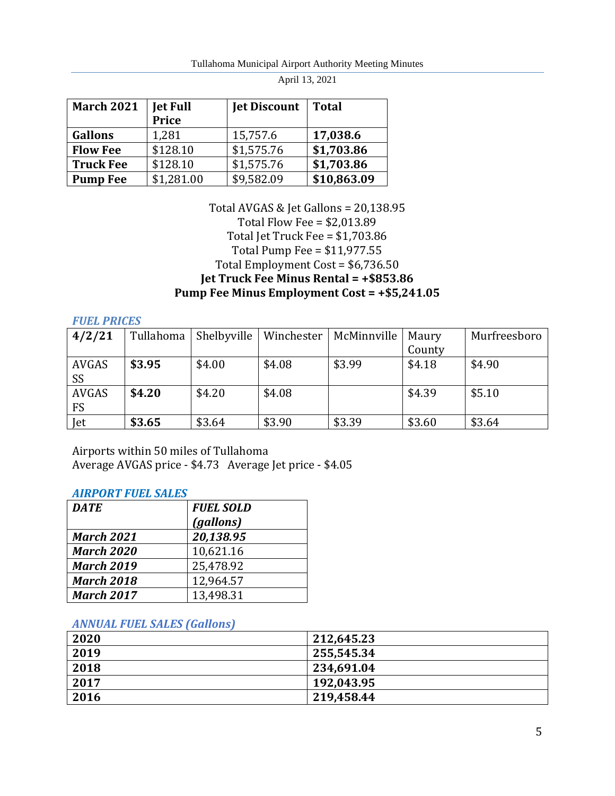| <b>March 2021</b> | <b>Jet Full</b> | <b>Jet Discount</b> | <b>Total</b> |
|-------------------|-----------------|---------------------|--------------|
|                   | <b>Price</b>    |                     |              |
| <b>Gallons</b>    | 1,281           | 15,757.6            | 17,038.6     |
| <b>Flow Fee</b>   | \$128.10        | \$1,575.76          | \$1,703.86   |
| <b>Truck Fee</b>  | \$128.10        | \$1,575.76          | \$1,703.86   |
| <b>Pump Fee</b>   | \$1,281.00      | \$9,582.09          | \$10,863.09  |

## Total AVGAS & Jet Gallons = 20,138.95 Total Flow Fee = \$2,013.89 Total Jet Truck Fee = \$1,703.86 Total Pump Fee = \$11,977.55 Total Employment Cost = \$6,736.50 **Jet Truck Fee Minus Rental = +\$853.86 Pump Fee Minus Employment Cost = +\$5,241.05**

#### *FUEL PRICES*

| 4/2/21       | Tullahoma | Shelbyville | Winchester | McMinnville | Maury  | Murfreesboro |
|--------------|-----------|-------------|------------|-------------|--------|--------------|
|              |           |             |            |             | County |              |
| AVGAS        | \$3.95    | \$4.00      | \$4.08     | \$3.99      | \$4.18 | \$4.90       |
| SS           |           |             |            |             |        |              |
| <b>AVGAS</b> | \$4.20    | \$4.20      | \$4.08     |             | \$4.39 | \$5.10       |
| <b>FS</b>    |           |             |            |             |        |              |
| Jet          | \$3.65    | \$3.64      | \$3.90     | \$3.39      | \$3.60 | \$3.64       |

Airports within 50 miles of Tullahoma Average AVGAS price - \$4.73 Average Jet price - \$4.05

#### *AIRPORT FUEL SALES*

| <b>DATE</b>       | <b>FUEL SOLD</b> |
|-------------------|------------------|
|                   | (gallons)        |
| <b>March 2021</b> | 20,138.95        |
| <b>March 2020</b> | 10,621.16        |
| <b>March 2019</b> | 25,478.92        |
| <b>March 2018</b> | 12,964.57        |
| <b>March 2017</b> | 13,498.31        |

#### *ANNUAL FUEL SALES (Gallons)*

| 2020 | 212,645.23 |
|------|------------|
| 2019 | 255,545.34 |
| 2018 | 234,691.04 |
| 2017 | 192,043.95 |
| 2016 | 219,458.44 |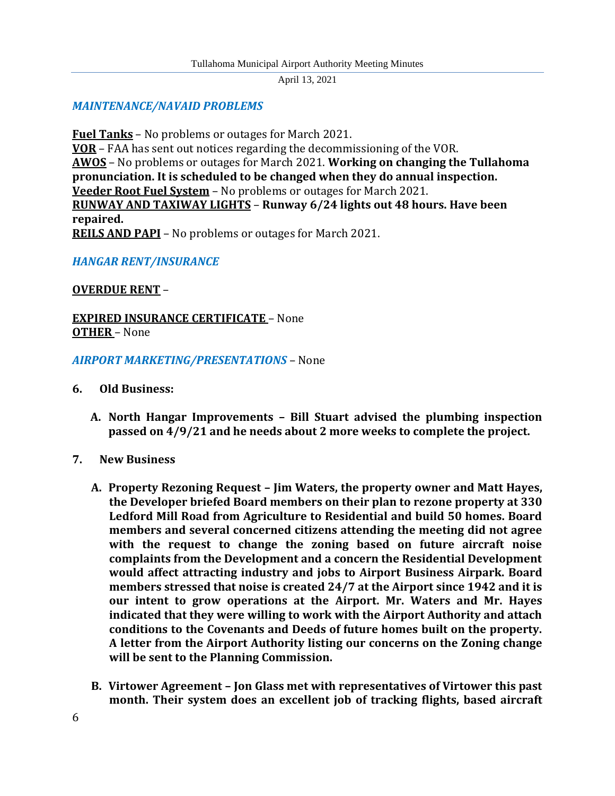## *MAINTENANCE/NAVAID PROBLEMS*

**Fuel Tanks** – No problems or outages for March 2021. **VOR** – FAA has sent out notices regarding the decommissioning of the VOR. **AWOS** – No problems or outages for March 2021. **Working on changing the Tullahoma pronunciation. It is scheduled to be changed when they do annual inspection. Veeder Root Fuel System** – No problems or outages for March 2021. **RUNWAY AND TAXIWAY LIGHTS** – **Runway 6/24 lights out 48 hours. Have been repaired. REILS AND PAPI** – No problems or outages for March 2021.

## *HANGAR RENT/INSURANCE*

### **OVERDUE RENT** –

## **EXPIRED INSURANCE CERTIFICATE** – None **OTHER** – None

#### *AIRPORT MARKETING/PRESENTATIONS* – None

#### **6. Old Business:**

- **A. North Hangar Improvements – Bill Stuart advised the plumbing inspection passed on 4/9/21 and he needs about 2 more weeks to complete the project.**
- **7. New Business**
	- **A. Property Rezoning Request – Jim Waters, the property owner and Matt Hayes, the Developer briefed Board members on their plan to rezone property at 330 Ledford Mill Road from Agriculture to Residential and build 50 homes. Board members and several concerned citizens attending the meeting did not agree with the request to change the zoning based on future aircraft noise complaints from the Development and a concern the Residential Development would affect attracting industry and jobs to Airport Business Airpark. Board members stressed that noise is created 24/7 at the Airport since 1942 and it is our intent to grow operations at the Airport. Mr. Waters and Mr. Hayes indicated that they were willing to work with the Airport Authority and attach conditions to the Covenants and Deeds of future homes built on the property. A letter from the Airport Authority listing our concerns on the Zoning change will be sent to the Planning Commission.**
	- **B. Virtower Agreement – Jon Glass met with representatives of Virtower this past month. Their system does an excellent job of tracking flights, based aircraft**